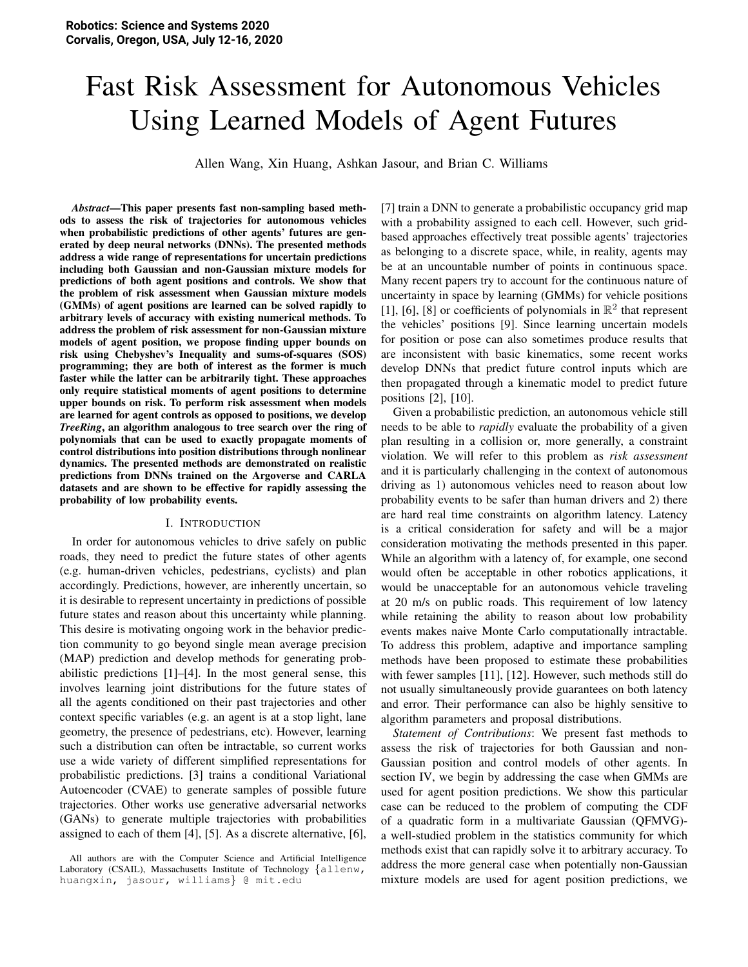# Fast Risk Assessment for Autonomous Vehicles Using Learned Models of Agent Futures

Allen Wang, Xin Huang, Ashkan Jasour, and Brian C. Williams

*Abstract*—This paper presents fast non-sampling based methods to assess the risk of trajectories for autonomous vehicles when probabilistic predictions of other agents' futures are generated by deep neural networks (DNNs). The presented methods address a wide range of representations for uncertain predictions including both Gaussian and non-Gaussian mixture models for predictions of both agent positions and controls. We show that the problem of risk assessment when Gaussian mixture models (GMMs) of agent positions are learned can be solved rapidly to arbitrary levels of accuracy with existing numerical methods. To address the problem of risk assessment for non-Gaussian mixture models of agent position, we propose finding upper bounds on risk using Chebyshev's Inequality and sums-of-squares (SOS) programming; they are both of interest as the former is much faster while the latter can be arbitrarily tight. These approaches only require statistical moments of agent positions to determine upper bounds on risk. To perform risk assessment when models are learned for agent controls as opposed to positions, we develop *TreeRing*, an algorithm analogous to tree search over the ring of polynomials that can be used to exactly propagate moments of control distributions into position distributions through nonlinear dynamics. The presented methods are demonstrated on realistic predictions from DNNs trained on the Argoverse and CARLA datasets and are shown to be effective for rapidly assessing the probability of low probability events.

# I. INTRODUCTION

In order for autonomous vehicles to drive safely on public roads, they need to predict the future states of other agents (e.g. human-driven vehicles, pedestrians, cyclists) and plan accordingly. Predictions, however, are inherently uncertain, so it is desirable to represent uncertainty in predictions of possible future states and reason about this uncertainty while planning. This desire is motivating ongoing work in the behavior prediction community to go beyond single mean average precision (MAP) prediction and develop methods for generating probabilistic predictions [1]–[4]. In the most general sense, this involves learning joint distributions for the future states of all the agents conditioned on their past trajectories and other context specific variables (e.g. an agent is at a stop light, lane geometry, the presence of pedestrians, etc). However, learning such a distribution can often be intractable, so current works use a wide variety of different simplified representations for probabilistic predictions. [3] trains a conditional Variational Autoencoder (CVAE) to generate samples of possible future trajectories. Other works use generative adversarial networks (GANs) to generate multiple trajectories with probabilities assigned to each of them [4], [5]. As a discrete alternative, [6],

[7] train a DNN to generate a probabilistic occupancy grid map with a probability assigned to each cell. However, such gridbased approaches effectively treat possible agents' trajectories as belonging to a discrete space, while, in reality, agents may be at an uncountable number of points in continuous space. Many recent papers try to account for the continuous nature of uncertainty in space by learning (GMMs) for vehicle positions [1], [6], [8] or coefficients of polynomials in  $\mathbb{R}^2$  that represent the vehicles' positions [9]. Since learning uncertain models for position or pose can also sometimes produce results that are inconsistent with basic kinematics, some recent works develop DNNs that predict future control inputs which are then propagated through a kinematic model to predict future positions [2], [10].

Given a probabilistic prediction, an autonomous vehicle still needs to be able to *rapidly* evaluate the probability of a given plan resulting in a collision or, more generally, a constraint violation. We will refer to this problem as *risk assessment* and it is particularly challenging in the context of autonomous driving as 1) autonomous vehicles need to reason about low probability events to be safer than human drivers and 2) there are hard real time constraints on algorithm latency. Latency is a critical consideration for safety and will be a major consideration motivating the methods presented in this paper. While an algorithm with a latency of, for example, one second would often be acceptable in other robotics applications, it would be unacceptable for an autonomous vehicle traveling at 20 m/s on public roads. This requirement of low latency while retaining the ability to reason about low probability events makes naive Monte Carlo computationally intractable. To address this problem, adaptive and importance sampling methods have been proposed to estimate these probabilities with fewer samples [11], [12]. However, such methods still do not usually simultaneously provide guarantees on both latency and error. Their performance can also be highly sensitive to algorithm parameters and proposal distributions.

*Statement of Contributions*: We present fast methods to assess the risk of trajectories for both Gaussian and non-Gaussian position and control models of other agents. In section IV, we begin by addressing the case when GMMs are used for agent position predictions. We show this particular case can be reduced to the problem of computing the CDF of a quadratic form in a multivariate Gaussian (QFMVG) a well-studied problem in the statistics community for which methods exist that can rapidly solve it to arbitrary accuracy. To address the more general case when potentially non-Gaussian mixture models are used for agent position predictions, we

All authors are with the Computer Science and Artificial Intelligence Laboratory (CSAIL), Massachusetts Institute of Technology {allenw, huangxin, jasour, williams} @ mit.edu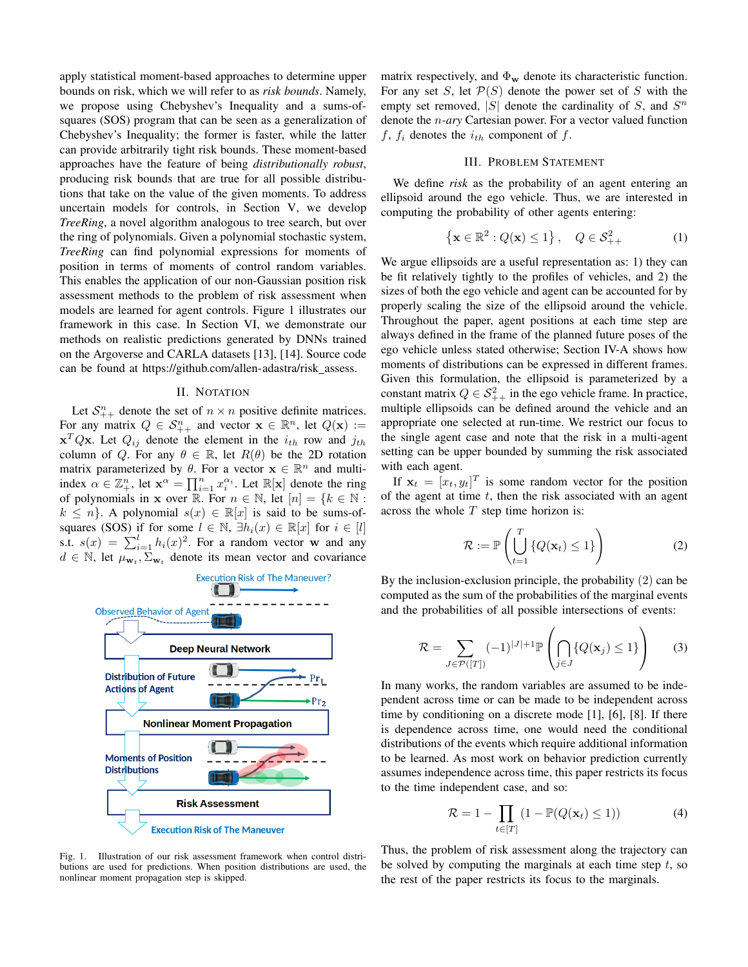apply statistical moment-based approaches to determine upper bounds on risk, which we will refer to as *risk bounds*. Namely, we propose using Chebyshev's Inequality and a sums-ofsquares (SOS) program that can be seen as a generalization of Chebyshev's Inequality; the former is faster, while the latter can provide arbitrarily tight risk bounds. These moment-based approaches have the feature of being *distributionally robust*, producing risk bounds that are true for all possible distributions that take on the value of the given moments. To address uncertain models for controls, in Section V, we develop *TreeRing*, a novel algorithm analogous to tree search, but over the ring of polynomials. Given a polynomial stochastic system, *TreeRing* can find polynomial expressions for moments of position in terms of moments of control random variables. This enables the application of our non-Gaussian position risk assessment methods to the problem of risk assessment when models are learned for agent controls. Figure 1 illustrates our framework in this case. In Section VI, we demonstrate our methods on realistic predictions generated by DNNs trained on the Argoverse and CARLA datasets [13], [14]. Source code can be found at https://github.com/allen-adastra/risk\_assess.

## II. NOTATION

Let  $S_{++}^n$  denote the set of  $n \times n$  positive definite matrices. For any matrix  $Q \in S_{++}^n$  and vector  $\mathbf{x} \in \mathbb{R}^n$ , let  $Q(\mathbf{x}) :=$  $\mathbf{x}^T Q \mathbf{x}$ . Let  $Q_{ij}$  denote the element in the  $i_{th}$  row and  $j_{th}$ column of Q. For any  $\theta \in \mathbb{R}$ , let  $R(\theta)$  be the 2D rotation matrix parameterized by  $\theta$ . For a vector  $\mathbf{x} \in \mathbb{R}^n$  and multiindex  $\alpha \in \mathbb{Z}_+^n$ , let  $\mathbf{x}^{\alpha} = \prod_{i=1}^n x_i^{\alpha_i}$ . Let  $\mathbb{R}[\mathbf{x}]$  denote the ring of polynomials in x over R. For  $n \in \mathbb{N}$ , let  $[n] = \{k \in \mathbb{N}$ :  $k \leq n$ . A polynomial  $s(x) \in \mathbb{R}[x]$  is said to be sums-ofsquares (SOS) if for some  $l \in \mathbb{N}$ ,  $\exists h_i(x) \in \mathbb{R}[x]$  for  $i \in [l]$ s.t.  $s(x) = \sum_{i=1}^{l} h_i(x)^2$ . For a random vector w and any  $d \in \mathbb{N}$ , let  $\mu_{\mathbf{w}_t}, \Sigma_{\mathbf{w}_t}$  denote its mean vector and covariance



Fig. 1. Illustration of our risk assessment framework when control distributions are used for predictions. When position distributions are used, the nonlinear moment propagation step is skipped.

matrix respectively, and  $\Phi_{\mathbf{w}}$  denote its characteristic function. For any set S, let  $P(S)$  denote the power set of S with the empty set removed,  $|S|$  denote the cardinality of S, and  $S<sup>n</sup>$ denote the n*-ary* Cartesian power. For a vector valued function  $f, f_i$  denotes the  $i_{th}$  component of  $f$ .

# III. PROBLEM STATEMENT

We define *risk* as the probability of an agent entering an ellipsoid around the ego vehicle. Thus, we are interested in computing the probability of other agents entering:

$$
\left\{ \mathbf{x} \in \mathbb{R}^2 : Q(\mathbf{x}) \le 1 \right\}, \quad Q \in \mathcal{S}_{++}^2 \tag{1}
$$

We argue ellipsoids are a useful representation as: 1) they can be fit relatively tightly to the profiles of vehicles, and 2) the sizes of both the ego vehicle and agent can be accounted for by properly scaling the size of the ellipsoid around the vehicle. Throughout the paper, agent positions at each time step are always defined in the frame of the planned future poses of the ego vehicle unless stated otherwise; Section IV-A shows how moments of distributions can be expressed in different frames. Given this formulation, the ellipsoid is parameterized by a constant matrix  $Q \in S^2_{++}$  in the ego vehicle frame. In practice, multiple ellipsoids can be defined around the vehicle and an appropriate one selected at run-time. We restrict our focus to the single agent case and note that the risk in a multi-agent setting can be upper bounded by summing the risk associated with each agent.

If  $\mathbf{x}_t = [x_t, y_t]^T$  is some random vector for the position of the agent at time  $t$ , then the risk associated with an agent across the whole  $T$  step time horizon is:

$$
\mathcal{R} := \mathbb{P}\left(\bigcup_{t=1}^{T} \left\{Q(\mathbf{x}_t) \le 1\right\}\right) \tag{2}
$$

By the inclusion-exclusion principle, the probability (2) can be computed as the sum of the probabilities of the marginal events and the probabilities of all possible intersections of events:

$$
\mathcal{R} = \sum_{J \in \mathcal{P}([T])} (-1)^{|J|+1} \mathbb{P}\left(\bigcap_{j \in J} \{Q(\mathbf{x}_j) \le 1\}\right) \tag{3}
$$

In many works, the random variables are assumed to be independent across time or can be made to be independent across time by conditioning on a discrete mode [1], [6], [8]. If there is dependence across time, one would need the conditional distributions of the events which require additional information to be learned. As most work on behavior prediction currently assumes independence across time, this paper restricts its focus to the time independent case, and so:

$$
\mathcal{R} = 1 - \prod_{t \in [T]} (1 - \mathbb{P}(Q(\mathbf{x}_t) \le 1)) \tag{4}
$$

Thus, the problem of risk assessment along the trajectory can be solved by computing the marginals at each time step  $t$ , so the rest of the paper restricts its focus to the marginals.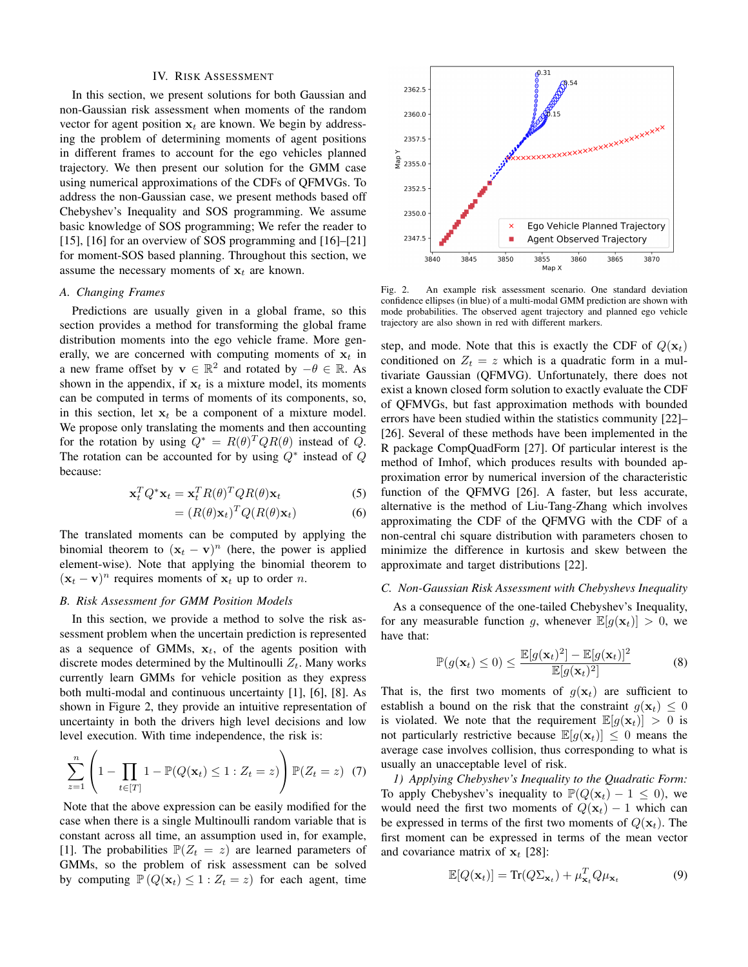#### IV. RISK ASSESSMENT

In this section, we present solutions for both Gaussian and non-Gaussian risk assessment when moments of the random vector for agent position  $x_t$  are known. We begin by addressing the problem of determining moments of agent positions in different frames to account for the ego vehicles planned trajectory. We then present our solution for the GMM case using numerical approximations of the CDFs of QFMVGs. To address the non-Gaussian case, we present methods based off Chebyshev's Inequality and SOS programming. We assume basic knowledge of SOS programming; We refer the reader to [15], [16] for an overview of SOS programming and [16]–[21] for moment-SOS based planning. Throughout this section, we assume the necessary moments of  $x_t$  are known.

#### *A. Changing Frames*

Predictions are usually given in a global frame, so this section provides a method for transforming the global frame distribution moments into the ego vehicle frame. More generally, we are concerned with computing moments of  $x_t$  in a new frame offset by  $\mathbf{v} \in \mathbb{R}^2$  and rotated by  $-\theta \in \mathbb{R}$ . As shown in the appendix, if  $x_t$  is a mixture model, its moments can be computed in terms of moments of its components, so, in this section, let  $x_t$  be a component of a mixture model. We propose only translating the moments and then accounting for the rotation by using  $Q^* = R(\theta)^T Q R(\theta)$  instead of Q. The rotation can be accounted for by using  $Q^*$  instead of  $Q$ because:

$$
\mathbf{x}_t^T Q^* \mathbf{x}_t = \mathbf{x}_t^T R(\theta)^T Q R(\theta) \mathbf{x}_t
$$
 (5)

$$
= (R(\theta)\mathbf{x}_t)^T Q(R(\theta)\mathbf{x}_t)
$$
\n(6)

The translated moments can be computed by applying the binomial theorem to  $(x_t - v)^n$  (here, the power is applied element-wise). Note that applying the binomial theorem to  $(\mathbf{x}_t - \mathbf{v})^n$  requires moments of  $\mathbf{x}_t$  up to order *n*.

#### *B. Risk Assessment for GMM Position Models*

In this section, we provide a method to solve the risk assessment problem when the uncertain prediction is represented as a sequence of GMMs,  $x_t$ , of the agents position with discrete modes determined by the Multinoulli  $Z_t$ . Many works currently learn GMMs for vehicle position as they express both multi-modal and continuous uncertainty [1], [6], [8]. As shown in Figure 2, they provide an intuitive representation of uncertainty in both the drivers high level decisions and low level execution. With time independence, the risk is:

$$
\sum_{z=1}^{n} \left( 1 - \prod_{t \in [T]} 1 - \mathbb{P}(Q(\mathbf{x}_t) \le 1 : Z_t = z) \right) \mathbb{P}(Z_t = z) \tag{7}
$$

Note that the above expression can be easily modified for the case when there is a single Multinoulli random variable that is constant across all time, an assumption used in, for example, [1]. The probabilities  $\mathbb{P}(Z_t = z)$  are learned parameters of GMMs, so the problem of risk assessment can be solved by computing  $\mathbb{P}(Q(\mathbf{x}_t) \leq 1 : Z_t = z)$  for each agent, time



Fig. 2. An example risk assessment scenario. One standard deviation confidence ellipses (in blue) of a multi-modal GMM prediction are shown with mode probabilities. The observed agent trajectory and planned ego vehicle trajectory are also shown in red with different markers.

step, and mode. Note that this is exactly the CDF of  $Q(\mathbf{x}_t)$ conditioned on  $Z_t = z$  which is a quadratic form in a multivariate Gaussian (QFMVG). Unfortunately, there does not exist a known closed form solution to exactly evaluate the CDF of QFMVGs, but fast approximation methods with bounded errors have been studied within the statistics community [22]– [26]. Several of these methods have been implemented in the R package CompQuadForm [27]. Of particular interest is the method of Imhof, which produces results with bounded approximation error by numerical inversion of the characteristic function of the QFMVG [26]. A faster, but less accurate, alternative is the method of Liu-Tang-Zhang which involves approximating the CDF of the QFMVG with the CDF of a non-central chi square distribution with parameters chosen to minimize the difference in kurtosis and skew between the approximate and target distributions [22].

#### *C. Non-Gaussian Risk Assessment with Chebyshevs Inequality*

As a consequence of the one-tailed Chebyshev's Inequality, for any measurable function g, whenever  $\mathbb{E}[g(\mathbf{x}_t)] > 0$ , we have that:

$$
\mathbb{P}(g(\mathbf{x}_t) \leq 0) \leq \frac{\mathbb{E}[g(\mathbf{x}_t)^2] - \mathbb{E}[g(\mathbf{x}_t)]^2}{\mathbb{E}[g(\mathbf{x}_t)^2]}
$$
(8)

That is, the first two moments of  $g(\mathbf{x}_t)$  are sufficient to establish a bound on the risk that the constraint  $q(\mathbf{x}_t) \leq 0$ is violated. We note that the requirement  $\mathbb{E}[g(\mathbf{x}_t)] > 0$  is not particularly restrictive because  $\mathbb{E}[g(\mathbf{x}_t)] \leq 0$  means the average case involves collision, thus corresponding to what is usually an unacceptable level of risk.

*1) Applying Chebyshev's Inequality to the Quadratic Form:* To apply Chebyshev's inequality to  $\mathbb{P}(Q(\mathbf{x}_t) - 1 \leq 0)$ , we would need the first two moments of  $Q(\mathbf{x}_t) - 1$  which can be expressed in terms of the first two moments of  $Q(\mathbf{x}_t)$ . The first moment can be expressed in terms of the mean vector and covariance matrix of  $x_t$  [28]:

$$
\mathbb{E}[Q(\mathbf{x}_t)] = \text{Tr}(Q\Sigma_{\mathbf{x}_t}) + \mu_{\mathbf{x}_t}^T Q \mu_{\mathbf{x}_t}
$$
\n(9)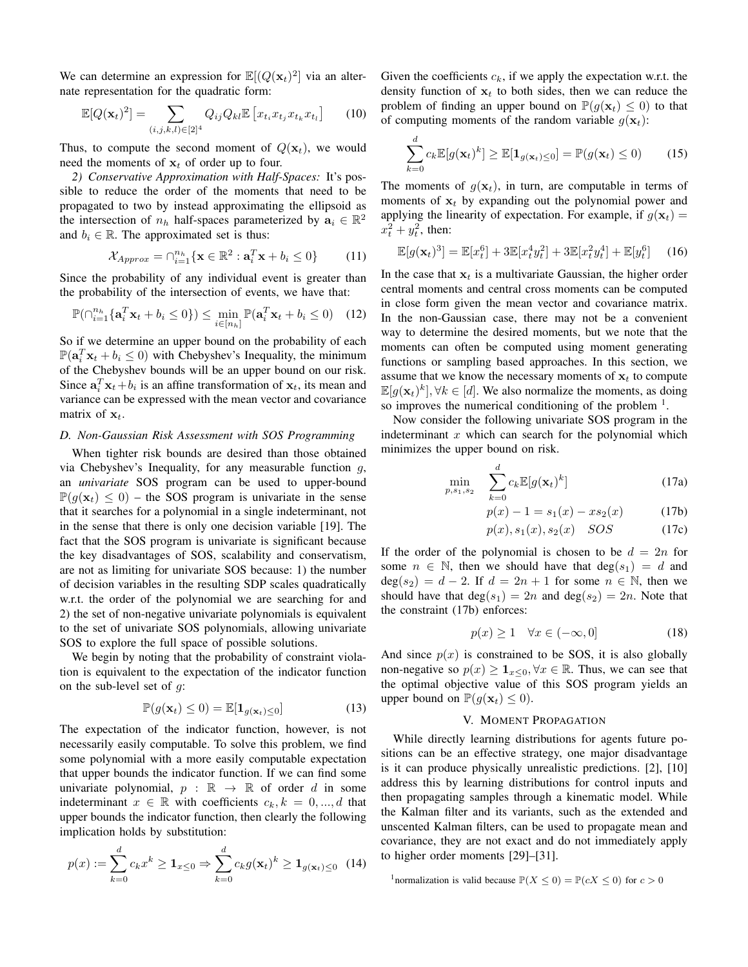We can determine an expression for  $\mathbb{E}[(Q(\mathbf{x}_t)^2)]$  via an alternate representation for the quadratic form:

$$
\mathbb{E}[Q(\mathbf{x}_t)^2] = \sum_{(i,j,k,l)\in[2]^4} Q_{ij} Q_{kl} \mathbb{E}\left[x_{t_i} x_{t_j} x_{t_k} x_{t_l}\right]
$$
(10)

Thus, to compute the second moment of  $Q(\mathbf{x}_t)$ , we would need the moments of  $x_t$  of order up to four.

*2) Conservative Approximation with Half-Spaces:* It's possible to reduce the order of the moments that need to be propagated to two by instead approximating the ellipsoid as the intersection of  $n_h$  half-spaces parameterized by  $a_i \in \mathbb{R}^2$ and  $b_i \in \mathbb{R}$ . The approximated set is thus:

$$
\mathcal{X}_{Approx} = \bigcap_{i=1}^{n_h} \{ \mathbf{x} \in \mathbb{R}^2 : \mathbf{a}_i^T \mathbf{x} + b_i \le 0 \} \tag{11}
$$

Since the probability of any individual event is greater than the probability of the intersection of events, we have that:

$$
\mathbb{P}(\bigcap_{i=1}^{n_h} {\{\mathbf{a}_i^T \mathbf{x}_t + b_i \le 0\}}) \le \min_{i \in [n_h]} \mathbb{P}(\mathbf{a}_i^T \mathbf{x}_t + b_i \le 0) \quad (12)
$$

So if we determine an upper bound on the probability of each  $\mathbb{P}(\mathbf{a}_i^T \mathbf{x}_t + b_i \leq 0)$  with Chebyshev's Inequality, the minimum of the Chebyshev bounds will be an upper bound on our risk. Since  $\mathbf{a}_i^T \mathbf{x}_t + b_i$  is an affine transformation of  $\mathbf{x}_t$ , its mean and variance can be expressed with the mean vector and covariance matrix of  $x_t$ .

# *D. Non-Gaussian Risk Assessment with SOS Programming*

When tighter risk bounds are desired than those obtained via Chebyshev's Inequality, for any measurable function  $g$ , an *univariate* SOS program can be used to upper-bound  $\mathbb{P}(g(\mathbf{x}_t) \leq 0)$  – the SOS program is univariate in the sense that it searches for a polynomial in a single indeterminant, not in the sense that there is only one decision variable [19]. The fact that the SOS program is univariate is significant because the key disadvantages of SOS, scalability and conservatism, are not as limiting for univariate SOS because: 1) the number of decision variables in the resulting SDP scales quadratically w.r.t. the order of the polynomial we are searching for and 2) the set of non-negative univariate polynomials is equivalent to the set of univariate SOS polynomials, allowing univariate SOS to explore the full space of possible solutions.

We begin by noting that the probability of constraint violation is equivalent to the expectation of the indicator function on the sub-level set of  $q$ :

$$
\mathbb{P}(g(\mathbf{x}_t) \le 0) = \mathbb{E}[\mathbf{1}_{g(\mathbf{x}_t) \le 0}] \tag{13}
$$

The expectation of the indicator function, however, is not necessarily easily computable. To solve this problem, we find some polynomial with a more easily computable expectation that upper bounds the indicator function. If we can find some univariate polynomial,  $p : \mathbb{R} \to \mathbb{R}$  of order d in some indeterminant  $x \in \mathbb{R}$  with coefficients  $c_k, k = 0, ..., d$  that upper bounds the indicator function, then clearly the following implication holds by substitution:

$$
p(x) := \sum_{k=0}^{d} c_k x^k \ge \mathbf{1}_{x \le 0} \Rightarrow \sum_{k=0}^{d} c_k g(\mathbf{x}_t)^k \ge \mathbf{1}_{g(\mathbf{x}_t) \le 0} \tag{14}
$$

Given the coefficients  $c_k$ , if we apply the expectation w.r.t. the density function of  $x_t$  to both sides, then we can reduce the problem of finding an upper bound on  $\mathbb{P}(q(\mathbf{x}_t) \leq 0)$  to that of computing moments of the random variable  $g(\mathbf{x}_t)$ :

$$
\sum_{k=0}^{d} c_k \mathbb{E}[g(\mathbf{x}_t)^k] \ge \mathbb{E}[\mathbf{1}_{g(\mathbf{x}_t) \le 0}] = \mathbb{P}(g(\mathbf{x}_t) \le 0) \qquad (15)
$$

The moments of  $g(\mathbf{x}_t)$ , in turn, are computable in terms of moments of  $x_t$  by expanding out the polynomial power and applying the linearity of expectation. For example, if  $g(\mathbf{x}_t)$  =  $x_t^2 + y_t^2$ , then:

$$
\mathbb{E}[g(\mathbf{x}_t)^3] = \mathbb{E}[x_t^6] + 3\mathbb{E}[x_t^4 y_t^2] + 3\mathbb{E}[x_t^2 y_t^4] + \mathbb{E}[y_t^6]
$$
 (16)

In the case that  $x_t$  is a multivariate Gaussian, the higher order central moments and central cross moments can be computed in close form given the mean vector and covariance matrix. In the non-Gaussian case, there may not be a convenient way to determine the desired moments, but we note that the moments can often be computed using moment generating functions or sampling based approaches. In this section, we assume that we know the necessary moments of  $x_t$  to compute  $\mathbb{E}[g(\mathbf{x}_t)^k], \forall k \in [d]$ . We also normalize the moments, as doing so improves the numerical conditioning of the problem  $<sup>1</sup>$ .</sup>

Now consider the following univariate SOS program in the indeterminant  $x$  which can search for the polynomial which minimizes the upper bound on risk.

$$
\min_{p,s_1,s_2} \quad \sum_{k=0}^d c_k \mathbb{E}[g(\mathbf{x}_t)^k]
$$
\n(17a)

$$
p(x) - 1 = s_1(x) - xs_2(x) \tag{17b}
$$

$$
p(x), s_1(x), s_2(x) \quad SOS \tag{17c}
$$

If the order of the polynomial is chosen to be  $d = 2n$  for some  $n \in \mathbb{N}$ , then we should have that  $deg(s_1) = d$  and  $deg(s_2) = d - 2$ . If  $d = 2n + 1$  for some  $n \in \mathbb{N}$ , then we should have that  $deg(s_1) = 2n$  and  $deg(s_2) = 2n$ . Note that the constraint (17b) enforces:

$$
p(x) \ge 1 \quad \forall x \in (-\infty, 0] \tag{18}
$$

And since  $p(x)$  is constrained to be SOS, it is also globally non-negative so  $p(x) \geq \mathbf{1}_{x \leq 0}, \forall x \in \mathbb{R}$ . Thus, we can see that the optimal objective value of this SOS program yields an upper bound on  $\mathbb{P}(g(\mathbf{x}_t) \leq 0)$ .

## V. MOMENT PROPAGATION

While directly learning distributions for agents future positions can be an effective strategy, one major disadvantage is it can produce physically unrealistic predictions. [2], [10] address this by learning distributions for control inputs and then propagating samples through a kinematic model. While the Kalman filter and its variants, such as the extended and unscented Kalman filters, can be used to propagate mean and covariance, they are not exact and do not immediately apply to higher order moments [29]–[31].

<sup>1</sup>normalization is valid because  $\mathbb{P}(X \le 0) = \mathbb{P}(cX \le 0)$  for  $c > 0$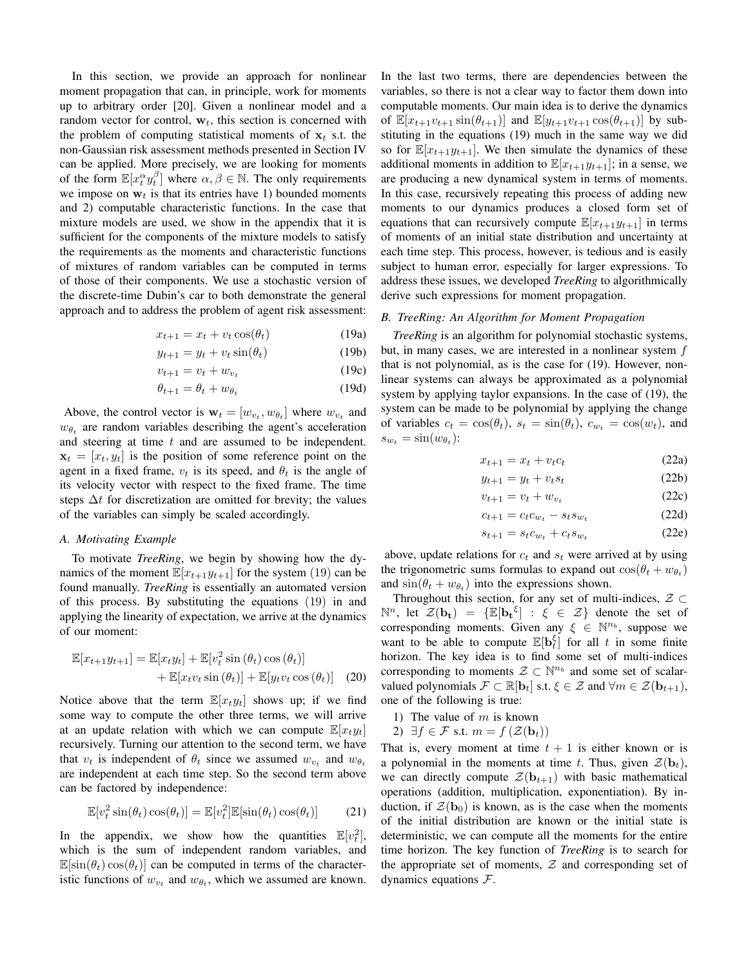In this section, we provide an approach for nonlinear moment propagation that can, in principle, work for moments up to arbitrary order [20]. Given a nonlinear model and a random vector for control,  $w_t$ , this section is concerned with the problem of computing statistical moments of  $x_t$  s.t. the non-Gaussian risk assessment methods presented in Section IV can be applied. More precisely, we are looking for moments of the form  $\mathbb{E}[x_t^{\alpha} y_t^{\beta}]$  where  $\alpha, \beta \in \mathbb{N}$ . The only requirements we impose on  $w_t$  is that its entries have 1) bounded moments and 2) computable characteristic functions. In the case that mixture models are used, we show in the appendix that it is sufficient for the components of the mixture models to satisfy the requirements as the moments and characteristic functions of mixtures of random variables can be computed in terms of those of their components. We use a stochastic version of the discrete-time Dubin's car to both demonstrate the general approach and to address the problem of agent risk assessment:

$$
x_{t+1} = x_t + v_t \cos(\theta_t) \tag{19a}
$$

$$
y_{t+1} = y_t + v_t \sin(\theta_t) \tag{19b}
$$

$$
v_{t+1} = v_t + w_{v_t} \tag{19c}
$$

$$
\theta_{t+1} = \theta_t + w_{\theta_t} \tag{19d}
$$

Above, the control vector is  $\mathbf{w}_t = [w_{v_t}, w_{\theta_t}]$  where  $w_{v_t}$  and  $w_{\theta_t}$  are random variables describing the agent's acceleration and steering at time  $t$  and are assumed to be independent.  $\mathbf{x}_t = [x_t, y_t]$  is the position of some reference point on the agent in a fixed frame,  $v_t$  is its speed, and  $\theta_t$  is the angle of its velocity vector with respect to the fixed frame. The time steps  $\Delta t$  for discretization are omitted for brevity; the values of the variables can simply be scaled accordingly.

# *A. Motivating Example*

To motivate *TreeRing*, we begin by showing how the dynamics of the moment  $\mathbb{E}[x_{t+1}y_{t+1}]$  for the system (19) can be found manually. *TreeRing* is essentially an automated version of this process. By substituting the equations (19) in and applying the linearity of expectation, we arrive at the dynamics of our moment:

$$
\mathbb{E}[x_{t+1}y_{t+1}] = \mathbb{E}[x_t y_t] + \mathbb{E}[v_t^2 \sin(\theta_t) \cos(\theta_t)] + \mathbb{E}[x_t v_t \sin(\theta_t)] + \mathbb{E}[y_t v_t \cos(\theta_t)] \quad (20)
$$

Notice above that the term  $\mathbb{E}[x_t y_t]$  shows up; if we find some way to compute the other three terms, we will arrive at an update relation with which we can compute  $\mathbb{E}[x_t y_t]$ recursively. Turning our attention to the second term, we have that  $v_t$  is independent of  $\theta_t$  since we assumed  $w_{v_t}$  and  $w_{\theta_t}$ are independent at each time step. So the second term above can be factored by independence:

$$
\mathbb{E}[v_t^2 \sin(\theta_t) \cos(\theta_t)] = \mathbb{E}[v_t^2] \mathbb{E}[\sin(\theta_t) \cos(\theta_t)] \tag{21}
$$

In the appendix, we show how the quantities  $\mathbb{E}[v_t^2]$ , which is the sum of independent random variables, and  $\mathbb{E}[\sin(\theta_t)\cos(\theta_t)]$  can be computed in terms of the characteristic functions of  $w_{v_t}$  and  $w_{\theta_t}$ , which we assumed are known. In the last two terms, there are dependencies between the variables, so there is not a clear way to factor them down into computable moments. Our main idea is to derive the dynamics of  $\mathbb{E}[x_{t+1}v_{t+1} \sin(\theta_{t+1})]$  and  $\mathbb{E}[y_{t+1}v_{t+1} \cos(\theta_{t+1})]$  by substituting in the equations (19) much in the same way we did so for  $\mathbb{E}[x_{t+1}y_{t+1}]$ . We then simulate the dynamics of these additional moments in addition to  $\mathbb{E}[x_{t+1}y_{t+1}]$ ; in a sense, we are producing a new dynamical system in terms of moments. In this case, recursively repeating this process of adding new moments to our dynamics produces a closed form set of equations that can recursively compute  $\mathbb{E}[x_{t+1}y_{t+1}]$  in terms of moments of an initial state distribution and uncertainty at each time step. This process, however, is tedious and is easily subject to human error, especially for larger expressions. To address these issues, we developed *TreeRing* to algorithmically derive such expressions for moment propagation.

# *B. TreeRing: An Algorithm for Moment Propagation*

*TreeRing* is an algorithm for polynomial stochastic systems, but, in many cases, we are interested in a nonlinear system f that is not polynomial, as is the case for (19). However, nonlinear systems can always be approximated as a polynomial system by applying taylor expansions. In the case of (19), the system can be made to be polynomial by applying the change of variables  $c_t = \cos(\theta_t)$ ,  $s_t = \sin(\theta_t)$ ,  $c_{w_t} = \cos(w_t)$ , and  $s_{w_t} = \sin(w_{\theta_t})$ :

$$
x_{t+1} = x_t + v_t c_t \tag{22a}
$$

$$
y_{t+1} = y_t + v_t s_t \tag{22b}
$$

$$
v_{t+1} = v_t + w_{v_t} \tag{22c}
$$

$$
c_{t+1} = c_t c_{w_t} - s_t s_{w_t}
$$
 (22d)

$$
s_{t+1} = s_t c_{w_t} + c_t s_{w_t} \tag{22e}
$$

above, update relations for  $c_t$  and  $s_t$  were arrived at by using the trigonometric sums formulas to expand out  $cos(\theta_t + w_{\theta_t})$ and  $sin(\theta_t + w_{\theta_t})$  into the expressions shown.

Throughout this section, for any set of multi-indices,  $\mathcal{Z} \subset$  $\mathbb{N}^n$ , let  $\mathcal{Z}(\mathbf{b_t}) = {\mathbb{E}[\mathbf{b_t}^{\xi}] : \xi \in \mathcal{Z}}$  denote the set of corresponding moments. Given any  $\xi \in \mathbb{N}^{n_b}$ , suppose we want to be able to compute  $\mathbb{E}[\mathbf{b}_t^{\xi}]$  for all t in some finite horizon. The key idea is to find some set of multi-indices corresponding to moments  $\mathcal{Z} \subset \mathbb{N}^{n_b}$  and some set of scalarvalued polynomials  $\mathcal{F} \subset \mathbb{R}[\mathbf{b}_t]$  s.t.  $\xi \in \mathcal{Z}$  and  $\forall m \in \mathcal{Z}(\mathbf{b}_{t+1}),$ one of the following is true:

- 1) The value of  $m$  is known
- 2)  $\exists f \in \mathcal{F}$  s.t.  $m = f(\mathcal{Z}(\mathbf{b}_t))$

That is, every moment at time  $t + 1$  is either known or is a polynomial in the moments at time t. Thus, given  $\mathcal{Z}(\mathbf{b}_t)$ , we can directly compute  $\mathcal{Z}(\mathbf{b}_{t+1})$  with basic mathematical operations (addition, multiplication, exponentiation). By induction, if  $\mathcal{Z}(\mathbf{b}_0)$  is known, as is the case when the moments of the initial distribution are known or the initial state is deterministic, we can compute all the moments for the entire time horizon. The key function of *TreeRing* is to search for the appropriate set of moments,  $Z$  and corresponding set of dynamics equations  $F$ .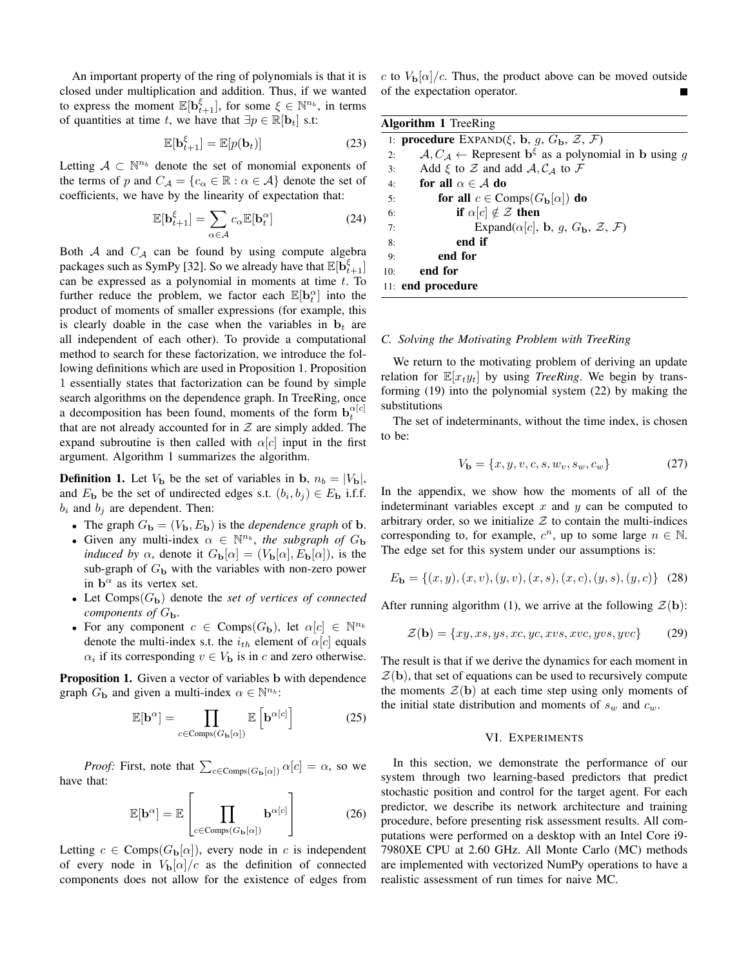An important property of the ring of polynomials is that it is closed under multiplication and addition. Thus, if we wanted to express the moment  $\mathbb{E}[\mathbf{b}^{\xi}_{t+1}]$ , for some  $\xi \in \mathbb{N}^{n_b}$ , in terms of quantities at time t, we have that  $\exists p \in \mathbb{R}[\mathbf{b}_t]$  s.t:

$$
\mathbb{E}[\mathbf{b}_{t+1}^{\xi}] = \mathbb{E}[p(\mathbf{b}_t)] \tag{23}
$$

Letting  $A \subset \mathbb{N}^{n_b}$  denote the set of monomial exponents of the terms of p and  $C_A = \{c_\alpha \in \mathbb{R} : \alpha \in \mathcal{A}\}\$  denote the set of coefficients, we have by the linearity of expectation that:

$$
\mathbb{E}[\mathbf{b}_{t+1}^{\xi}] = \sum_{\alpha \in \mathcal{A}} c_{\alpha} \mathbb{E}[\mathbf{b}_t^{\alpha}]
$$
 (24)

Both  $A$  and  $C_A$  can be found by using compute algebra packages such as SymPy [32]. So we already have that  $\mathbb{E}[\mathbf{b}_{t+1}^{\xi}]$ can be expressed as a polynomial in moments at time  $t$ . To further reduce the problem, we factor each  $\mathbb{E}[\mathbf{b}_t^{\alpha}]$  into the product of moments of smaller expressions (for example, this is clearly doable in the case when the variables in  $\mathbf{b}_t$  are all independent of each other). To provide a computational method to search for these factorization, we introduce the following definitions which are used in Proposition 1. Proposition 1 essentially states that factorization can be found by simple search algorithms on the dependence graph. In TreeRing, once a decomposition has been found, moments of the form  $\mathbf{b}_t^{\alpha[c]}$ that are not already accounted for in  $\mathcal Z$  are simply added. The expand subroutine is then called with  $\alpha[c]$  input in the first argument. Algorithm 1 summarizes the algorithm.

**Definition 1.** Let  $V_{\mathbf{b}}$  be the set of variables in b,  $n_b = |V_{\mathbf{b}}|$ , and  $E_{\bf b}$  be the set of undirected edges s.t.  $(b_i, b_j) \in E_{\bf b}$  i.f.f.  $b_i$  and  $b_j$  are dependent. Then:

- The graph  $G_{\bf b} = (V_{\bf b}, E_{\bf b})$  is the *dependence graph* of **b**.
- Given any multi-index  $\alpha \in \mathbb{N}^{n_b}$ , the subgraph of  $G_b$ *induced by*  $\alpha$ , denote it  $G_{\bf{b}}[\alpha] = (V_{\bf{b}}[\alpha], E_{\bf{b}}[\alpha])$ , is the sub-graph of  $G<sub>b</sub>$  with the variables with non-zero power in  $b^{\alpha}$  as its vertex set.
- Let  $Comps(G_{\bf b})$  denote the *set of vertices of connected components of*  $G_{\bf b}$ .
- For any component  $c \in \text{Comps}(G_{\bf b})$ , let  $\alpha[c] \in \mathbb{N}^{n_b}$ denote the multi-index s.t. the  $i_{th}$  element of  $\alpha[c]$  equals  $\alpha_i$  if its corresponding  $v \in V_{\mathbf{b}}$  is in c and zero otherwise.

Proposition 1. Given a vector of variables b with dependence graph  $G_{\mathbf{b}}$  and given a multi-index  $\alpha \in \mathbb{N}^{n_b}$ :

$$
\mathbb{E}[\mathbf{b}^{\alpha}] = \prod_{c \in \text{Comps}(G_{\mathbf{b}}[\alpha])} \mathbb{E}\left[\mathbf{b}^{\alpha[c]}\right]
$$
 (25)

*Proof:* First, note that  $\sum_{c \in \text{Comps}(G_{\mathbf{b}}[\alpha])} \alpha[c] = \alpha$ , so we have that:  $\overline{\Gamma}$ 

$$
\mathbb{E}[\mathbf{b}^{\alpha}] = \mathbb{E}\left[\prod_{c \in \text{Comps}(G_{\mathbf{b}}[\alpha])} \mathbf{b}^{\alpha[c]}\right]
$$
(26)

Letting  $c \in \text{Comps}(G_{\mathbf{b}}[\alpha])$ , every node in c is independent of every node in  $V_{\bf{b}}[\alpha]/c$  as the definition of connected components does not allow for the existence of edges from

c to  $V_{\bf{b}}[\alpha]/c$ . Thus, the product above can be moved outside of the expectation operator.

| <b>Algorithm 1</b> TreeRing |                                                                                         |  |  |  |
|-----------------------------|-----------------------------------------------------------------------------------------|--|--|--|
|                             | 1: <b>procedure</b> EXPAND $(\xi, b, g, G_b, \mathcal{Z}, \mathcal{F})$                 |  |  |  |
| 2:                          | $A, C_A \leftarrow$ Represent $\mathbf{b}^{\xi}$ as a polynomial in b using g           |  |  |  |
| 3:                          | Add $\xi$ to $\mathcal Z$ and add $\mathcal A, \mathcal C_{\mathcal A}$ to $\mathcal F$ |  |  |  |
| 4:                          | for all $\alpha \in \mathcal{A}$ do                                                     |  |  |  |
| 5:                          | for all $c \in \text{Comps}(G_{\mathbf{b}}[\alpha])$ do                                 |  |  |  |
| 6:                          | if $\alpha[c] \notin \mathcal{Z}$ then                                                  |  |  |  |
| 7:                          | Expand( $\alpha[c]$ , b, g, $G_{\mathbf{b}}$ , $\mathcal{Z}$ , $\mathcal{F}$ )          |  |  |  |
| 8:                          | end if                                                                                  |  |  |  |
| 9:                          | end for                                                                                 |  |  |  |
| 10:                         | end for                                                                                 |  |  |  |
|                             | 11: end procedure                                                                       |  |  |  |

## *C. Solving the Motivating Problem with TreeRing*

We return to the motivating problem of deriving an update relation for  $\mathbb{E}[x_t y_t]$  by using *TreeRing*. We begin by transforming (19) into the polynomial system (22) by making the substitutions

The set of indeterminants, without the time index, is chosen to be:

$$
V_{\mathbf{b}} = \{x, y, v, c, s, w_v, s_w, c_w\}
$$
 (27)

In the appendix, we show how the moments of all of the indeterminant variables except  $x$  and  $y$  can be computed to arbitrary order, so we initialize  $Z$  to contain the multi-indices corresponding to, for example,  $c^n$ , up to some large  $n \in \mathbb{N}$ . The edge set for this system under our assumptions is:

$$
E_{\mathbf{b}} = \{(x, y), (x, v), (y, v), (x, s), (x, c), (y, s), (y, c)\}\tag{28}
$$

After running algorithm (1), we arrive at the following  $\mathcal{Z}(\mathbf{b})$ :

$$
\mathcal{Z}(\mathbf{b}) = \{xy, xs, ys, xc, yc, xvs, xvc, yvs, yvc\}
$$
 (29)

The result is that if we derive the dynamics for each moment in  $\mathcal{Z}(\mathbf{b})$ , that set of equations can be used to recursively compute the moments  $\mathcal{Z}(\mathbf{b})$  at each time step using only moments of the initial state distribution and moments of  $s_w$  and  $c_w$ .

## VI. EXPERIMENTS

In this section, we demonstrate the performance of our system through two learning-based predictors that predict stochastic position and control for the target agent. For each predictor, we describe its network architecture and training procedure, before presenting risk assessment results. All computations were performed on a desktop with an Intel Core i9- 7980XE CPU at 2.60 GHz. All Monte Carlo (MC) methods are implemented with vectorized NumPy operations to have a realistic assessment of run times for naive MC.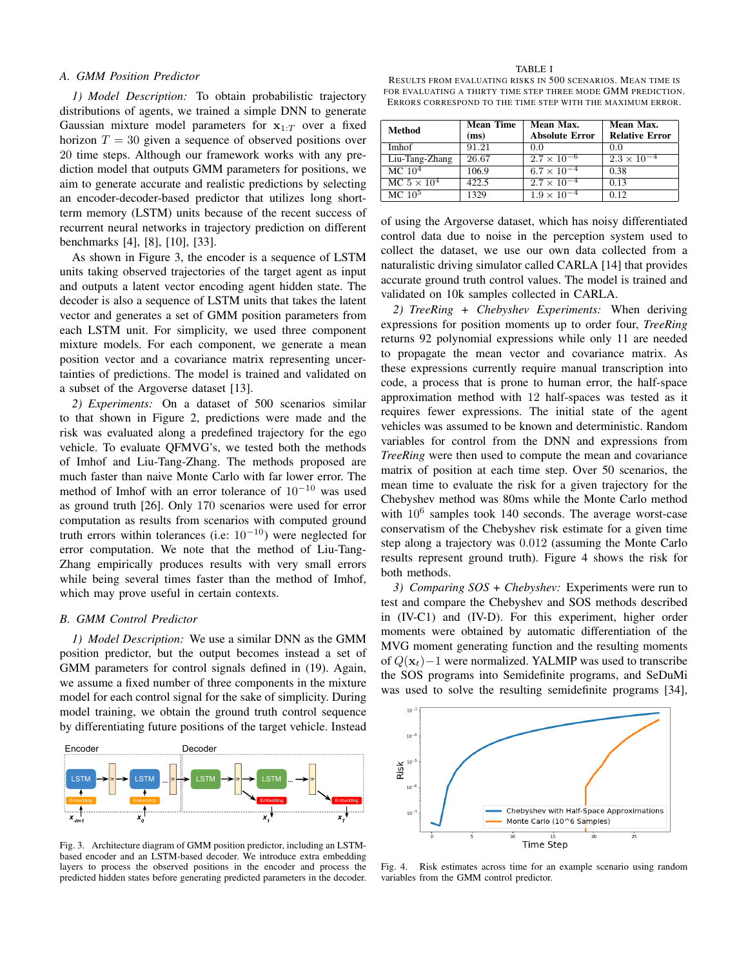## *A. GMM Position Predictor*

*1) Model Description:* To obtain probabilistic trajectory distributions of agents, we trained a simple DNN to generate Gaussian mixture model parameters for  $x_{1:T}$  over a fixed horizon  $T = 30$  given a sequence of observed positions over 20 time steps. Although our framework works with any prediction model that outputs GMM parameters for positions, we aim to generate accurate and realistic predictions by selecting an encoder-decoder-based predictor that utilizes long shortterm memory (LSTM) units because of the recent success of recurrent neural networks in trajectory prediction on different benchmarks [4], [8], [10], [33].

As shown in Figure 3, the encoder is a sequence of LSTM units taking observed trajectories of the target agent as input and outputs a latent vector encoding agent hidden state. The decoder is also a sequence of LSTM units that takes the latent vector and generates a set of GMM position parameters from each LSTM unit. For simplicity, we used three component mixture models. For each component, we generate a mean position vector and a covariance matrix representing uncertainties of predictions. The model is trained and validated on a subset of the Argoverse dataset [13].

*2) Experiments:* On a dataset of 500 scenarios similar to that shown in Figure 2, predictions were made and the risk was evaluated along a predefined trajectory for the ego vehicle. To evaluate QFMVG's, we tested both the methods of Imhof and Liu-Tang-Zhang. The methods proposed are much faster than naive Monte Carlo with far lower error. The method of Imhof with an error tolerance of  $10^{-10}$  was used as ground truth [26]. Only 170 scenarios were used for error computation as results from scenarios with computed ground truth errors within tolerances (i.e:  $10^{-10}$ ) were neglected for error computation. We note that the method of Liu-Tang-Zhang empirically produces results with very small errors while being several times faster than the method of Imhof, which may prove useful in certain contexts.

## *B. GMM Control Predictor*

*1) Model Description:* We use a similar DNN as the GMM position predictor, but the output becomes instead a set of GMM parameters for control signals defined in (19). Again, we assume a fixed number of three components in the mixture model for each control signal for the sake of simplicity. During model training, we obtain the ground truth control sequence by differentiating future positions of the target vehicle. Instead



Fig. 3. Architecture diagram of GMM position predictor, including an LSTMbased encoder and an LSTM-based decoder. We introduce extra embedding layers to process the observed positions in the encoder and process the predicted hidden states before generating predicted parameters in the decoder.

TABLE I

RESULTS FROM EVALUATING RISKS IN 500 SCENARIOS. MEAN TIME IS FOR EVALUATING A THIRTY TIME STEP THREE MODE GMM PREDICTION. ERRORS CORRESPOND TO THE TIME STEP WITH THE MAXIMUM ERROR.

| Method             | <b>Mean Time</b><br>(ms) | Mean Max.<br><b>Absolute Error</b> | Mean Max.<br><b>Relative Error</b> |
|--------------------|--------------------------|------------------------------------|------------------------------------|
| Imhof              | 91.21                    | 0.0                                | 0.0                                |
| Liu-Tang-Zhang     | 26.67                    | $2.7 \times 10^{-6}$               | $2.3 \times 10^{-4}$               |
| $MC$ $10^4$        | 106.9                    | $6.7 \times 10^{-4}$               | 0.38                               |
| MC $5 \times 10^4$ | 422.5                    | $2.7 \times 10^{-4}$               | 0.13                               |
| MC $105$           | 1329                     | $1.9 \times 10^{-4}$               | 0.12                               |

of using the Argoverse dataset, which has noisy differentiated control data due to noise in the perception system used to collect the dataset, we use our own data collected from a naturalistic driving simulator called CARLA [14] that provides accurate ground truth control values. The model is trained and validated on 10k samples collected in CARLA.

*2) TreeRing + Chebyshev Experiments:* When deriving expressions for position moments up to order four, *TreeRing* returns 92 polynomial expressions while only 11 are needed to propagate the mean vector and covariance matrix. As these expressions currently require manual transcription into code, a process that is prone to human error, the half-space approximation method with 12 half-spaces was tested as it requires fewer expressions. The initial state of the agent vehicles was assumed to be known and deterministic. Random variables for control from the DNN and expressions from *TreeRing* were then used to compute the mean and covariance matrix of position at each time step. Over 50 scenarios, the mean time to evaluate the risk for a given trajectory for the Chebyshev method was 80ms while the Monte Carlo method with  $10^6$  samples took 140 seconds. The average worst-case conservatism of the Chebyshev risk estimate for a given time step along a trajectory was 0.012 (assuming the Monte Carlo results represent ground truth). Figure 4 shows the risk for both methods.

*3) Comparing SOS + Chebyshev:* Experiments were run to test and compare the Chebyshev and SOS methods described in (IV-C1) and (IV-D). For this experiment, higher order moments were obtained by automatic differentiation of the MVG moment generating function and the resulting moments of  $Q(\mathbf{x}_t)$ −1 were normalized. YALMIP was used to transcribe the SOS programs into Semidefinite programs, and SeDuMi was used to solve the resulting semidefinite programs [34],



Fig. 4. Risk estimates across time for an example scenario using random variables from the GMM control predictor.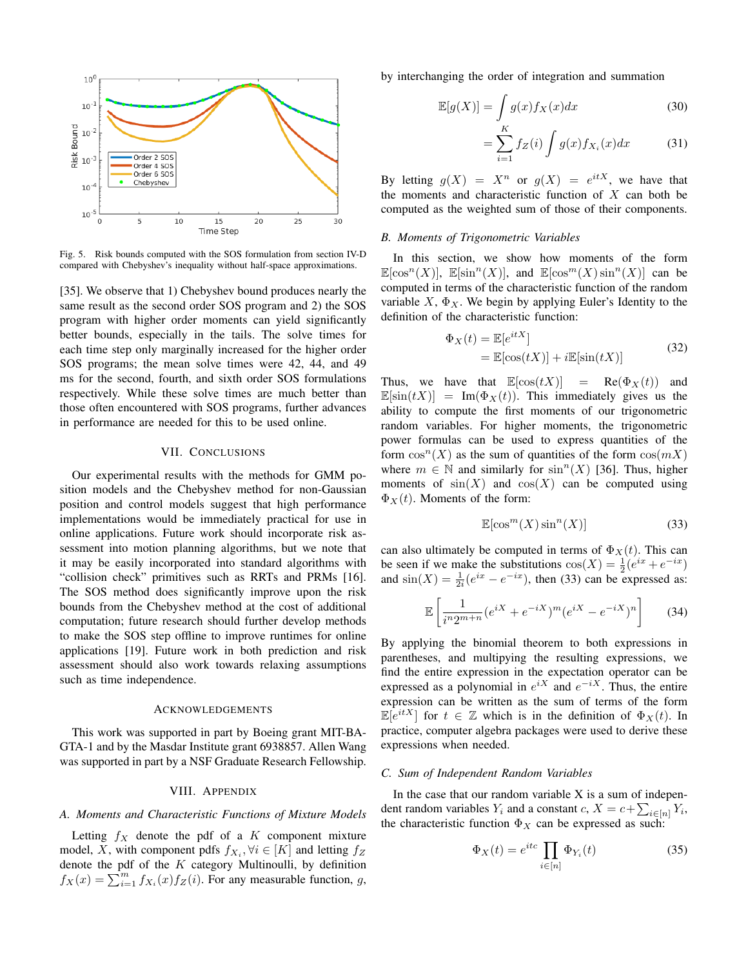

Fig. 5. Risk bounds computed with the SOS formulation from section IV-D compared with Chebyshev's inequality without half-space approximations.

[35]. We observe that 1) Chebyshev bound produces nearly the same result as the second order SOS program and 2) the SOS program with higher order moments can yield significantly better bounds, especially in the tails. The solve times for each time step only marginally increased for the higher order SOS programs; the mean solve times were 42, 44, and 49 ms for the second, fourth, and sixth order SOS formulations respectively. While these solve times are much better than those often encountered with SOS programs, further advances in performance are needed for this to be used online.

# VII. CONCLUSIONS

Our experimental results with the methods for GMM position models and the Chebyshev method for non-Gaussian position and control models suggest that high performance implementations would be immediately practical for use in online applications. Future work should incorporate risk assessment into motion planning algorithms, but we note that it may be easily incorporated into standard algorithms with "collision check" primitives such as RRTs and PRMs [16]. The SOS method does significantly improve upon the risk bounds from the Chebyshev method at the cost of additional computation; future research should further develop methods to make the SOS step offline to improve runtimes for online applications [19]. Future work in both prediction and risk assessment should also work towards relaxing assumptions such as time independence.

#### ACKNOWLEDGEMENTS

This work was supported in part by Boeing grant MIT-BA-GTA-1 and by the Masdar Institute grant 6938857. Allen Wang was supported in part by a NSF Graduate Research Fellowship.

## VIII. APPENDIX

#### *A. Moments and Characteristic Functions of Mixture Models*

Letting  $f_X$  denote the pdf of a K component mixture model, X, with component pdfs  $f_{X_i}, \forall i \in [K]$  and letting  $f_Z$ denote the pdf of the  $K$  category Multinoulli, by definition  $f_X(x) = \sum_{i=1}^m f_{X_i}(x) f_Z(i)$ . For any measurable function, g, by interchanging the order of integration and summation

$$
\mathbb{E}[g(X)] = \int_{X} g(x) f_X(x) dx \tag{30}
$$

$$
=\sum_{i=1}^{K} f_Z(i) \int g(x) f_{X_i}(x) dx \tag{31}
$$

By letting  $g(X) = X^n$  or  $g(X) = e^{itX}$ , we have that the moments and characteristic function of  $X$  can both be computed as the weighted sum of those of their components.

#### *B. Moments of Trigonometric Variables*

In this section, we show how moments of the form  $\mathbb{E}[\cos^{n}(X)], \ \mathbb{E}[\sin^{n}(X)], \text{ and } \mathbb{E}[\cos^{m}(X)\sin^{n}(X)]$  can be computed in terms of the characteristic function of the random variable  $X$ ,  $\Phi_X$ . We begin by applying Euler's Identity to the definition of the characteristic function:

$$
\Phi_X(t) = \mathbb{E}[e^{itX}]
$$
  
=  $\mathbb{E}[\cos(tX)] + i\mathbb{E}[\sin(tX)]$  (32)

Thus, we have that  $\mathbb{E}[\cos(tX)] = \text{Re}(\Phi_X(t))$  and  $\mathbb{E}[\sin(tX)] = \text{Im}(\Phi_X(t)).$  This immediately gives us the ability to compute the first moments of our trigonometric random variables. For higher moments, the trigonometric power formulas can be used to express quantities of the form  $\cos^{n}(X)$  as the sum of quantities of the form  $\cos(mX)$ where  $m \in \mathbb{N}$  and similarly for  $\sin^{n}(X)$  [36]. Thus, higher moments of  $sin(X)$  and  $cos(X)$  can be computed using  $\Phi_X(t)$ . Moments of the form:

$$
\mathbb{E}[\cos^m(X)\sin^n(X)]\tag{33}
$$

can also ultimately be computed in terms of  $\Phi_X(t)$ . This can be seen if we make the substitutions  $cos(X) = \frac{1}{2}(e^{ix} + e^{-ix})$ and  $\sin(X) = \frac{1}{2i} (e^{ix} - e^{-ix})$ , then (33) can be expressed as:

$$
\mathbb{E}\left[\frac{1}{i^n 2^{m+n}}(e^{iX}+e^{-iX})^m(e^{iX}-e^{-iX})^n\right]
$$
 (34)

By applying the binomial theorem to both expressions in parentheses, and multipying the resulting expressions, we find the entire expression in the expectation operator can be expressed as a polynomial in  $e^{iX}$  and  $e^{-iX}$ . Thus, the entire expression can be written as the sum of terms of the form  $\mathbb{E}[e^{itX}]$  for  $t \in \mathbb{Z}$  which is in the definition of  $\Phi_X(t)$ . In practice, computer algebra packages were used to derive these expressions when needed.

# *C. Sum of Independent Random Variables*

In the case that our random variable  $X$  is a sum of independent random variables  $Y_i$  and a constant  $c, X = c + \sum_{i \in [n]} Y_i$ , the characteristic function  $\Phi_X$  can be expressed as such:

$$
\Phi_X(t) = e^{itc} \prod_{i \in [n]} \Phi_{Y_i}(t) \tag{35}
$$